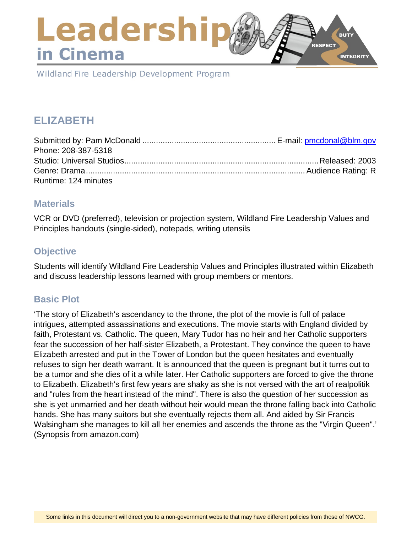## Leadershi **DUTY RESPECT** in Cinema **INTEGRITY**

Wildland Fire Leadership Development Program

# **ELIZABETH**

| Phone: 208-387-5318  |  |
|----------------------|--|
|                      |  |
|                      |  |
| Runtime: 124 minutes |  |

### **Materials**

VCR or DVD (preferred), television or projection system, Wildland Fire Leadership Values and Principles handouts (single-sided), notepads, writing utensils

## **Objective**

Students will identify Wildland Fire Leadership Values and Principles illustrated within Elizabeth and discuss leadership lessons learned with group members or mentors.

## **Basic Plot**

'The story of Elizabeth's ascendancy to the throne, the plot of the movie is full of palace intrigues, attempted assassinations and executions. The movie starts with England divided by faith, Protestant vs. Catholic. The queen, Mary Tudor has no heir and her Catholic supporters fear the succession of her half-sister Elizabeth, a Protestant. They convince the queen to have Elizabeth arrested and put in the Tower of London but the queen hesitates and eventually refuses to sign her death warrant. It is announced that the queen is pregnant but it turns out to be a tumor and she dies of it a while later. Her Catholic supporters are forced to give the throne to Elizabeth. Elizabeth's first few years are shaky as she is not versed with the art of realpolitik and "rules from the heart instead of the mind". There is also the question of her succession as she is yet unmarried and her death without heir would mean the throne falling back into Catholic hands. She has many suitors but she eventually rejects them all. And aided by Sir Francis Walsingham she manages to kill all her enemies and ascends the throne as the "Virgin Queen".' (Synopsis from amazon.com)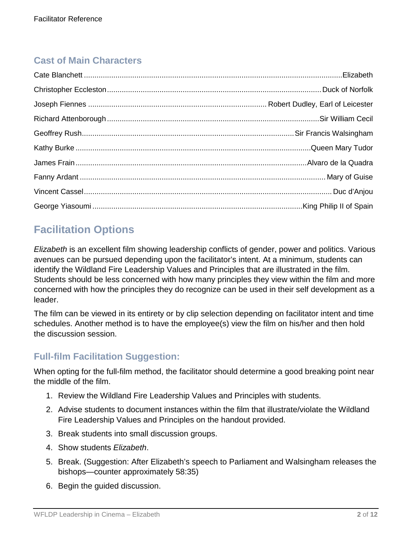## **Cast of Main Characters**

# **Facilitation Options**

*Elizabeth* is an excellent film showing leadership conflicts of gender, power and politics. Various avenues can be pursued depending upon the facilitator's intent. At a minimum, students can identify the Wildland Fire Leadership Values and Principles that are illustrated in the film. Students should be less concerned with how many principles they view within the film and more concerned with how the principles they do recognize can be used in their self development as a leader.

The film can be viewed in its entirety or by clip selection depending on facilitator intent and time schedules. Another method is to have the employee(s) view the film on his/her and then hold the discussion session.

## **Full-film Facilitation Suggestion:**

When opting for the full-film method, the facilitator should determine a good breaking point near the middle of the film.

- 1. Review the Wildland Fire Leadership Values and Principles with students.
- 2. Advise students to document instances within the film that illustrate/violate the Wildland Fire Leadership Values and Principles on the handout provided.
- 3. Break students into small discussion groups.
- 4. Show students *Elizabeth*.
- 5. Break. (Suggestion: After Elizabeth's speech to Parliament and Walsingham releases the bishops—counter approximately 58:35)
- 6. Begin the guided discussion.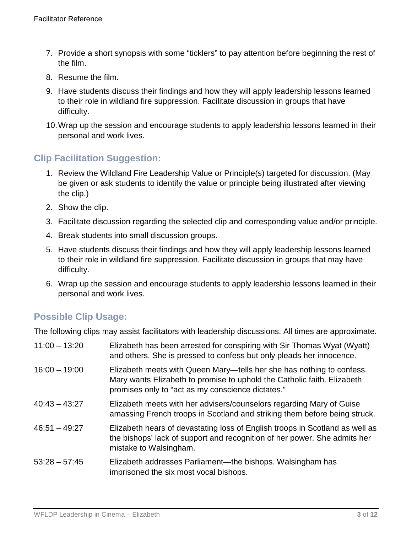- 7. Provide a short synopsis with some "ticklers" to pay attention before beginning the rest of the film.
- 8. Resume the film.
- 9. Have students discuss their findings and how they will apply leadership lessons learned to their role in wildland fire suppression. Facilitate discussion in groups that have difficulty.
- 10.Wrap up the session and encourage students to apply leadership lessons learned in their personal and work lives.

## **Clip Facilitation Suggestion:**

- 1. Review the Wildland Fire Leadership Value or Principle(s) targeted for discussion. (May be given or ask students to identify the value or principle being illustrated after viewing the clip.)
- 2. Show the clip.
- 3. Facilitate discussion regarding the selected clip and corresponding value and/or principle.
- 4. Break students into small discussion groups.
- 5. Have students discuss their findings and how they will apply leadership lessons learned to their role in wildland fire suppression. Facilitate discussion in groups that may have difficulty.
- 6. Wrap up the session and encourage students to apply leadership lessons learned in their personal and work lives.

## **Possible Clip Usage:**

The following clips may assist facilitators with leadership discussions. All times are approximate.

| $11:00 - 13:20$ | Elizabeth has been arrested for conspiring with Sir Thomas Wyat (Wyatt)<br>and others. She is pressed to confess but only pleads her innocence.                                                       |
|-----------------|-------------------------------------------------------------------------------------------------------------------------------------------------------------------------------------------------------|
| $16:00 - 19:00$ | Elizabeth meets with Queen Mary—tells her she has nothing to confess.<br>Mary wants Elizabeth to promise to uphold the Catholic faith. Elizabeth<br>promises only to "act as my conscience dictates." |
| $40:43 - 43:27$ | Elizabeth meets with her advisers/counselors regarding Mary of Guise<br>amassing French troops in Scotland and striking them before being struck.                                                     |
| $46:51 - 49:27$ | Elizabeth hears of devastating loss of English troops in Scotland as well as<br>the bishops' lack of support and recognition of her power. She admits her<br>mistake to Walsingham.                   |
| $53:28 - 57:45$ | Elizabeth addresses Parliament—the bishops. Walsingham has<br>imprisoned the six most vocal bishops.                                                                                                  |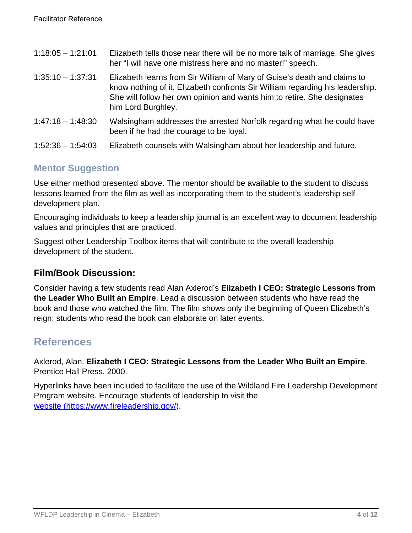| $1:18:05 - 1:21:01$ | Elizabeth tells those near there will be no more talk of marriage. She gives<br>her "I will have one mistress here and no master!" speech.                                                                                                                 |
|---------------------|------------------------------------------------------------------------------------------------------------------------------------------------------------------------------------------------------------------------------------------------------------|
| $1:35:10 - 1:37:31$ | Elizabeth learns from Sir William of Mary of Guise's death and claims to<br>know nothing of it. Elizabeth confronts Sir William regarding his leadership.<br>She will follow her own opinion and wants him to retire. She designates<br>him Lord Burghley. |
| $1:47:18 - 1:48:30$ | Walsingham addresses the arrested Norfolk regarding what he could have<br>been if he had the courage to be loyal.                                                                                                                                          |
| $1:52:36 - 1:54:03$ | Elizabeth counsels with Walsingham about her leadership and future.                                                                                                                                                                                        |

## **Mentor Suggestion**

Use either method presented above. The mentor should be available to the student to discuss lessons learned from the film as well as incorporating them to the student's leadership selfdevelopment plan.

Encouraging individuals to keep a leadership journal is an excellent way to document leadership values and principles that are practiced.

Suggest other Leadership Toolbox items that will contribute to the overall leadership development of the student.

## **Film/Book Discussion:**

Consider having a few students read Alan Axlerod's **Elizabeth I CEO: Strategic Lessons from the Leader Who Built an Empire**. Lead a discussion between students who have read the book and those who watched the film. The film shows only the beginning of Queen Elizabeth's reign; students who read the book can elaborate on later events.

## **References**

Axlerod, Alan. **Elizabeth I CEO: Strategic Lessons from the Leader Who Built an Empire**. Prentice Hall Press. 2000.

Hyperlinks have been included to facilitate the use of the Wildland Fire Leadership Development Program website. Encourage students of leadership to visit the [website \(https://www.fireleadership.gov/\)](https://www.fireleadership.gov/).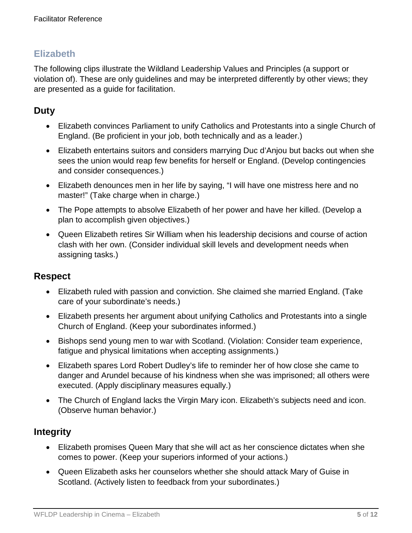The following clips illustrate the Wildland Leadership Values and Principles (a support or violation of). These are only guidelines and may be interpreted differently by other views; they are presented as a guide for facilitation.

## **Duty**

- Elizabeth convinces Parliament to unify Catholics and Protestants into a single Church of England. (Be proficient in your job, both technically and as a leader.)
- Elizabeth entertains suitors and considers marrying Duc d'Anjou but backs out when she sees the union would reap few benefits for herself or England. (Develop contingencies and consider consequences.)
- Elizabeth denounces men in her life by saying, "I will have one mistress here and no master!" (Take charge when in charge.)
- The Pope attempts to absolve Elizabeth of her power and have her killed. (Develop a plan to accomplish given objectives.)
- Queen Elizabeth retires Sir William when his leadership decisions and course of action clash with her own. (Consider individual skill levels and development needs when assigning tasks.)

### **Respect**

- Elizabeth ruled with passion and conviction. She claimed she married England. (Take care of your subordinate's needs.)
- Elizabeth presents her argument about unifying Catholics and Protestants into a single Church of England. (Keep your subordinates informed.)
- Bishops send young men to war with Scotland. (Violation: Consider team experience, fatigue and physical limitations when accepting assignments.)
- Elizabeth spares Lord Robert Dudley's life to reminder her of how close she came to danger and Arundel because of his kindness when she was imprisoned; all others were executed. (Apply disciplinary measures equally.)
- The Church of England lacks the Virgin Mary icon. Elizabeth's subjects need and icon. (Observe human behavior.)

## **Integrity**

- Elizabeth promises Queen Mary that she will act as her conscience dictates when she comes to power. (Keep your superiors informed of your actions.)
- Queen Elizabeth asks her counselors whether she should attack Mary of Guise in Scotland. (Actively listen to feedback from your subordinates.)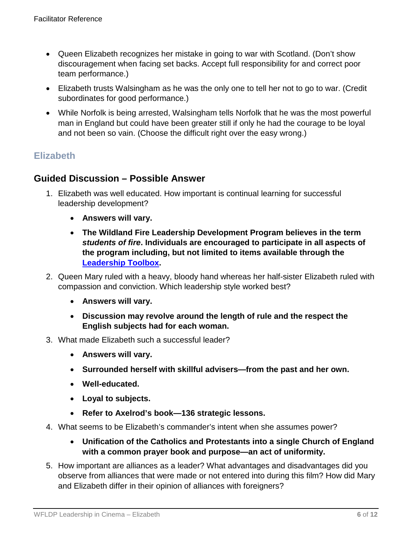- Queen Elizabeth recognizes her mistake in going to war with Scotland. (Don't show discouragement when facing set backs. Accept full responsibility for and correct poor team performance.)
- Elizabeth trusts Walsingham as he was the only one to tell her not to go to war. (Credit subordinates for good performance.)
- While Norfolk is being arrested, Walsingham tells Norfolk that he was the most powerful man in England but could have been greater still if only he had the courage to be loyal and not been so vain. (Choose the difficult right over the easy wrong.)

## **Guided Discussion – Possible Answer**

- 1. Elizabeth was well educated. How important is continual learning for successful leadership development?
	- **Answers will vary.**
	- **The Wildland Fire Leadership Development Program believes in the term**  *students of fire***. Individuals are encouraged to participate in all aspects of the program including, but not limited to items available through the [Leadership Toolbox.](https://www.fireleadership.gov/)**
- 2. Queen Mary ruled with a heavy, bloody hand whereas her half-sister Elizabeth ruled with compassion and conviction. Which leadership style worked best?
	- **Answers will vary.**
	- **Discussion may revolve around the length of rule and the respect the English subjects had for each woman.**
- 3. What made Elizabeth such a successful leader?
	- **Answers will vary.**
	- **Surrounded herself with skillful advisers—from the past and her own.**
	- **Well-educated.**
	- **Loyal to subjects.**
	- **Refer to Axelrod's book—136 strategic lessons.**
- 4. What seems to be Elizabeth's commander's intent when she assumes power?
	- **Unification of the Catholics and Protestants into a single Church of England with a common prayer book and purpose—an act of uniformity.**
- 5. How important are alliances as a leader? What advantages and disadvantages did you observe from alliances that were made or not entered into during this film? How did Mary and Elizabeth differ in their opinion of alliances with foreigners?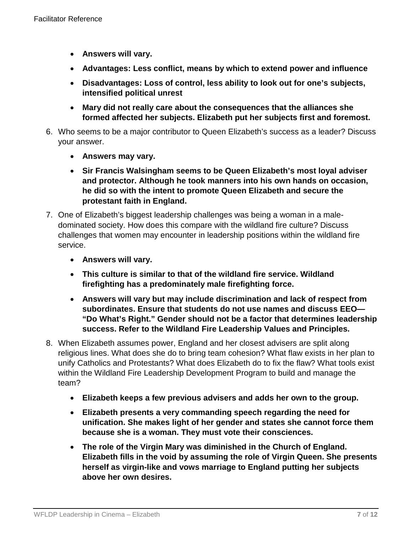- **Answers will vary.**
- **Advantages: Less conflict, means by which to extend power and influence**
- **Disadvantages: Loss of control, less ability to look out for one's subjects, intensified political unrest**
- **Mary did not really care about the consequences that the alliances she formed affected her subjects. Elizabeth put her subjects first and foremost.**
- 6. Who seems to be a major contributor to Queen Elizabeth's success as a leader? Discuss your answer.
	- **Answers may vary.**
	- **Sir Francis Walsingham seems to be Queen Elizabeth's most loyal adviser and protector. Although he took manners into his own hands on occasion, he did so with the intent to promote Queen Elizabeth and secure the protestant faith in England.**
- 7. One of Elizabeth's biggest leadership challenges was being a woman in a maledominated society. How does this compare with the wildland fire culture? Discuss challenges that women may encounter in leadership positions within the wildland fire service.
	- **Answers will vary.**
	- **This culture is similar to that of the wildland fire service. Wildland firefighting has a predominately male firefighting force.**
	- **Answers will vary but may include discrimination and lack of respect from subordinates. Ensure that students do not use names and discuss EEO— "Do What's Right." Gender should not be a factor that determines leadership success. Refer to the Wildland Fire Leadership Values and Principles.**
- 8. When Elizabeth assumes power, England and her closest advisers are split along religious lines. What does she do to bring team cohesion? What flaw exists in her plan to unify Catholics and Protestants? What does Elizabeth do to fix the flaw? What tools exist within the Wildland Fire Leadership Development Program to build and manage the team?
	- **Elizabeth keeps a few previous advisers and adds her own to the group.**
	- **Elizabeth presents a very commanding speech regarding the need for unification. She makes light of her gender and states she cannot force them because she is a woman. They must vote their consciences.**
	- **The role of the Virgin Mary was diminished in the Church of England. Elizabeth fills in the void by assuming the role of Virgin Queen. She presents herself as virgin-like and vows marriage to England putting her subjects above her own desires.**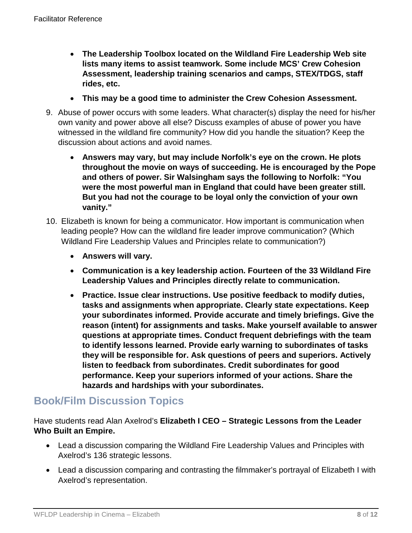- **The Leadership Toolbox located on the Wildland Fire Leadership Web site lists many items to assist teamwork. Some include MCS' Crew Cohesion Assessment, leadership training scenarios and camps, STEX/TDGS, staff rides, etc.**
- **This may be a good time to administer the Crew Cohesion Assessment.**
- 9. Abuse of power occurs with some leaders. What character(s) display the need for his/her own vanity and power above all else? Discuss examples of abuse of power you have witnessed in the wildland fire community? How did you handle the situation? Keep the discussion about actions and avoid names.
	- **Answers may vary, but may include Norfolk's eye on the crown. He plots throughout the movie on ways of succeeding. He is encouraged by the Pope and others of power. Sir Walsingham says the following to Norfolk: "You were the most powerful man in England that could have been greater still. But you had not the courage to be loyal only the conviction of your own vanity."**
- 10. Elizabeth is known for being a communicator. How important is communication when leading people? How can the wildland fire leader improve communication? (Which Wildland Fire Leadership Values and Principles relate to communication?)
	- **Answers will vary.**
	- **Communication is a key leadership action. Fourteen of the 33 Wildland Fire Leadership Values and Principles directly relate to communication.**
	- **Practice. Issue clear instructions. Use positive feedback to modify duties, tasks and assignments when appropriate. Clearly state expectations. Keep your subordinates informed. Provide accurate and timely briefings. Give the reason (intent) for assignments and tasks. Make yourself available to answer questions at appropriate times. Conduct frequent debriefings with the team to identify lessons learned. Provide early warning to subordinates of tasks they will be responsible for. Ask questions of peers and superiors. Actively listen to feedback from subordinates. Credit subordinates for good performance. Keep your superiors informed of your actions. Share the hazards and hardships with your subordinates.**

## **Book/Film Discussion Topics**

Have students read Alan Axelrod's **Elizabeth I CEO – Strategic Lessons from the Leader Who Built an Empire.**

- Lead a discussion comparing the Wildland Fire Leadership Values and Principles with Axelrod's 136 strategic lessons.
- Lead a discussion comparing and contrasting the filmmaker's portrayal of Elizabeth I with Axelrod's representation.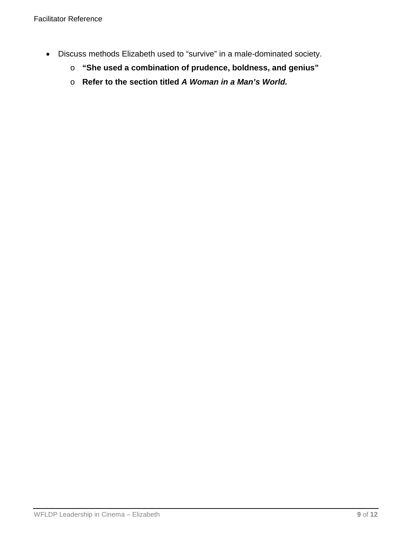- Discuss methods Elizabeth used to "survive" in a male-dominated society.
	- o **"She used a combination of prudence, boldness, and genius"**
	- o **Refer to the section titled** *A Woman in a Man's World.*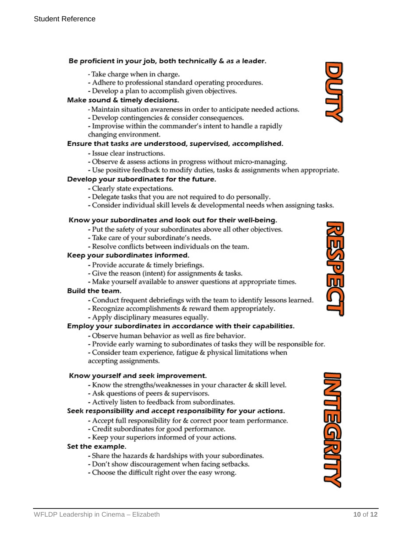#### Be proficient in your job, both technically & as a leader.

- Take charge when in charge.
- Adhere to professional standard operating procedures.
- Develop a plan to accomplish given objectives.

#### Make sound & timely decisions.

- Maintain situation awareness in order to anticipate needed actions.
- Develop contingencies & consider consequences.
- Improvise within the commander's intent to handle a rapidly changing environment.

#### Ensure that tasks are understood, supervised, accomplished.

- Issue clear instructions.
- Observe & assess actions in progress without micro-managing.
- Use positive feedback to modify duties, tasks & assignments when appropriate.

#### Develop your subordinates for the future.

- Clearly state expectations.
- Delegate tasks that you are not required to do personally.
- Consider individual skill levels & developmental needs when assigning tasks.

#### Know your subordinates and look out for their well-being.

- Put the safety of your subordinates above all other objectives.
- Take care of your subordinate's needs.
- Resolve conflicts between individuals on the team.

#### Keep your subordinates informed.

- Provide accurate & timely briefings.
- Give the reason (intent) for assignments & tasks.
- Make yourself available to answer questions at appropriate times.

#### Build the team.

- Conduct frequent debriefings with the team to identify lessons learned.
- Recognize accomplishments & reward them appropriately.
- Apply disciplinary measures equally.

#### Employ your subordinates in accordance with their capabilities.

- Observe human behavior as well as fire behavior.
- Provide early warning to subordinates of tasks they will be responsible for.

- Consider team experience, fatigue & physical limitations when accepting assignments.

#### Know yourself and seek improvement.

- Know the strengths/weaknesses in your character & skill level.
- Ask questions of peers & supervisors.
- Actively listen to feedback from subordinates.

#### Seek responsibility and accept responsibility for your actions.

- Accept full responsibility for & correct poor team performance.
- Credit subordinates for good performance.
- Keep your superiors informed of your actions.

#### Set the example.

- Share the hazards & hardships with your subordinates.
- Don't show discouragement when facing setbacks.
- Choose the difficult right over the easy wrong.







**DOTT**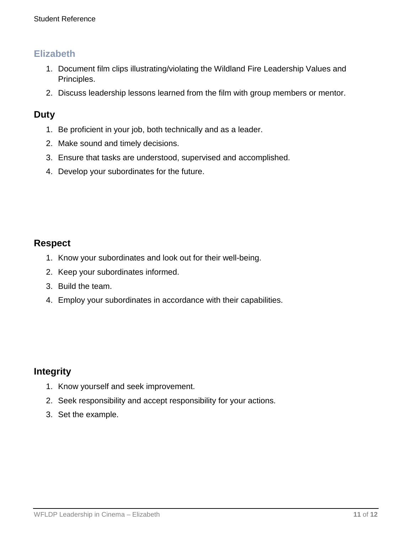- 1. Document film clips illustrating/violating the Wildland Fire Leadership Values and Principles.
- 2. Discuss leadership lessons learned from the film with group members or mentor.

### **Duty**

- 1. Be proficient in your job, both technically and as a leader.
- 2. Make sound and timely decisions.
- 3. Ensure that tasks are understood, supervised and accomplished.
- 4. Develop your subordinates for the future.

### **Respect**

- 1. Know your subordinates and look out for their well-being.
- 2. Keep your subordinates informed.
- 3. Build the team.
- 4. Employ your subordinates in accordance with their capabilities.

### **Integrity**

- 1. Know yourself and seek improvement.
- 2. Seek responsibility and accept responsibility for your actions.
- 3. Set the example.